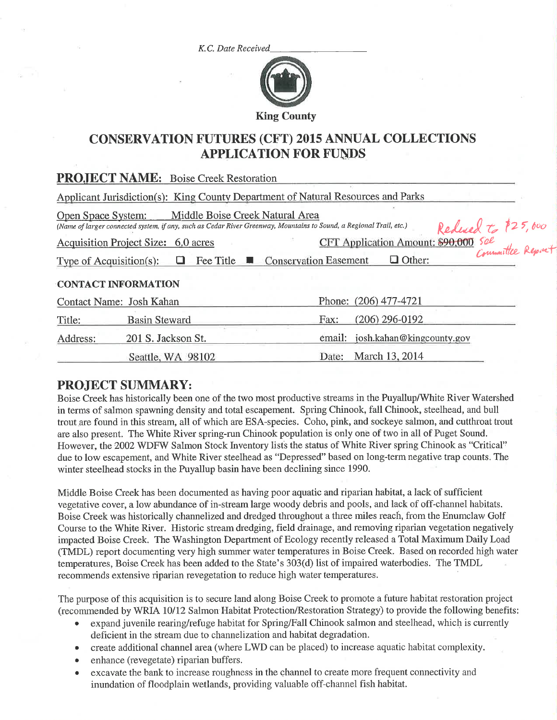K.C. Date Received



# **CONSERVATION FUTURES (CFT) 2015 ANNUAL COLLECTIONS APPLICATION FOR FUNDS**

|                                | <b>PROJECT NAME:</b> Boise Creek Restoration                                                                                                           |                                                        |
|--------------------------------|--------------------------------------------------------------------------------------------------------------------------------------------------------|--------------------------------------------------------|
|                                | Applicant Jurisdiction(s): King County Department of Natural Resources and Parks                                                                       |                                                        |
| Open Space System:             | Middle Boise Creek Natural Area<br>(Name of larger connected system, if any, such as Cedar River Greenway, Mountains to Sound, a Regional Trail, etc.) | Reduced to \$25,000                                    |
|                                | Acquisition Project Size: 6.0 acres                                                                                                                    | CFT Application Amount: \$90,000 Sel<br>Committee Repi |
| Type of Acquisition(s): $\Box$ | <b>Fee Title <math>\blacksquare</math></b> Conservation Easement                                                                                       | $\Box$ Other:                                          |
| <b>CONTACT INFORMATION</b>     |                                                                                                                                                        |                                                        |
| Contact Name: Josh Kahan       |                                                                                                                                                        | Phone: (206) 477-4721                                  |
| Title:                         | <b>Basin Steward</b>                                                                                                                                   | $(206)$ 296-0192<br>Fax:                               |
| Address:                       | 201 S. Jackson St.                                                                                                                                     | email: josh.kahan@kingcounty.gov                       |
|                                | Seattle, WA 98102                                                                                                                                      | March 13, 2014<br>Date:                                |

## **PROJECT SUMMARY:**

Boise Creek has historically been one of the two most productive streams in the Puyallup/White River Watershed in terms of salmon spawning density and total escapement. Spring Chinook, fall Chinook, steelhead, and bull trout are found in this stream, all of which are ESA-species. Coho, pink, and sockeye salmon, and cutthroat trout are also present. The White River spring-run Chinook population is only one of two in all of Puget Sound. However, the 2002 WDFW Salmon Stock Inventory lists the status of White River spring Chinook as "Critical" due to low escapement, and White River steelhead as "Depressed" based on long-term negative trap counts. The winter steelhead stocks in the Puyallup basin have been declining since 1990.

Middle Boise Creek has been documented as having poor aquatic and riparian habitat, a lack of sufficient vegetative cover, a low abundance of in-stream large woody debris and pools, and lack of off-channel habitats. Boise Creek was historically channelized and dredged throughout a three miles reach, from the Enumclaw Golf Course to the White River. Historic stream dredging, field drainage, and removing riparian vegetation negatively impacted Boise Creek. The Washington Department of Ecology recently released a Total Maximum Daily Load (TMDL) report documenting very high summer water temperatures in Boise Creek. Based on recorded high water temperatures, Boise Creek has been added to the State's 303(d) list of impaired waterbodies. The TMDL recommends extensive riparian revegetation to reduce high water temperatures.

The purpose of this acquisition is to secure land along Boise Creek to promote a future habitat restoration project (recommended by WRIA 10/12 Salmon Habitat Protection/Restoration Strategy) to provide the following benefits:

- expand juvenile rearing/refuge habitat for Spring/Fall Chinook salmon and steelhead, which is currently deficient in the stream due to channelization and habitat degradation.
- create additional channel area (where LWD can be placed) to increase aquatic habitat complexity.
- enhance (revegetate) riparian buffers.  $\bullet$
- excavate the bank to increase roughness in the channel to create more frequent connectivity and  $\bullet$ inundation of floodplain wetlands, providing valuable off-channel fish habitat.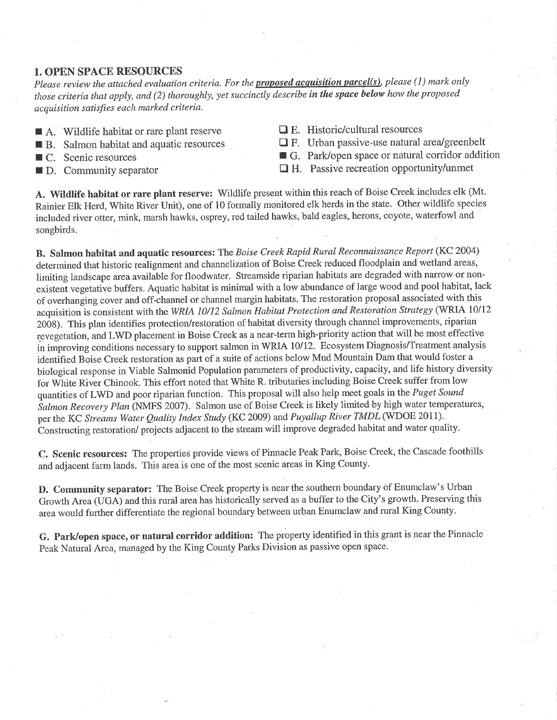### 1. OPEN SPACE RESOURCES

Please review the attached evaluation criteria. For the **proposed acquisition parcel(s)**, please (1) mark only those criteria that apply, and (2) thoroughly, yet succinctly describe in the space below how the proposed acquisition satisfies each marked criteria.

- $\blacksquare$  A. Wildlife habitat or rare plant reserve
- **R** B. Salmon habitat and aquatic resources
- $\blacksquare$  C. Scenic resources
- $\blacksquare$  D. Community separator

 $\Box$  E. Historic/cultural resources

 $\Box$  F. Urban passive-use natural area/greenbelt

- G. Park/open space or natural corridor addition
- $\Box$  H. Passive recreation opportunity/unmet

A. Wildlife habitat or rare plant reserve: Wildlife present within this reach of Boise Creek includes elk (Mt. Rainier Elk Herd, White River Unit), one of 10 formally monitored elk herds in the state. Other wildlife species included river otter, mink, marsh hawks, osprey, red tailed hawks, bald eagles, herons, coyote, waterfowl and songbirds.

B. Salmon habitat and aquatic resources: The Boise Creek Rapid Rural Reconnaissance Report (KC 2004) determined that historic realignment and channelization of Boise Creek reduced floodplain and wetland areas, limiting landscape area available for floodwater. Streamside riparian habitats are degraded with narrow or nonexistent vegetative buffers. Aquatic habitat is minimal with a low abundance of large wood and pool habitat, lack of overhanging cover and off-channel or channel margin habitats. The restoration proposal associated with this acquisition is consistent with the WRIA 10/12 Salmon Habitat Protection and Restoration Strategy (WRIA 10/12 2008). This plan identifies protection/restoration of habitat diversity through channel improvements, riparian revegetation, and LWD placement in Boise Creek as a near-term high-priority action that will be most effective in improving conditions necessary to support salmon in WRIA 10/12. Ecosystem Diagnosis/Treatment analysis identified Boise Creek restoration as part of a suite of actions below Mud Mountain Dam that would foster a biological response in Viable Salmonid Population parameters of productivity, capacity, and life history diversity for White River Chinook. This effort noted that White R. tributaries including Boise Creek suffer from low quantities of LWD and poor riparian function. This proposal will also help meet goals in the Puget Sound Salmon Recovery Plan (NMFS 2007). Salmon use of Boise Creek is likely limited by high water temperatures, per the KC Streams Water Quality Index Study (KC 2009) and Puyallup River TMDL (WDOE 2011). Constructing restoration/ projects adjacent to the stream will improve degraded habitat and water quality.

C. Scenic resources: The properties provide views of Pinnacle Peak Park, Boise Creek, the Cascade foothills and adjacent farm lands. This area is one of the most scenic areas in King County.

D. Community separator: The Boise Creek property is near the southern boundary of Enumclaw's Urban Growth Area (UGA) and this rural area has historically served as a buffer to the City's growth. Preserving this area would further differentiate the regional boundary between urban Enumclaw and rural King County.

G. Park/open space, or natural corridor addition: The property identified in this grant is near the Pinnacle Peak Natural Area, managed by the King County Parks Division as passive open space.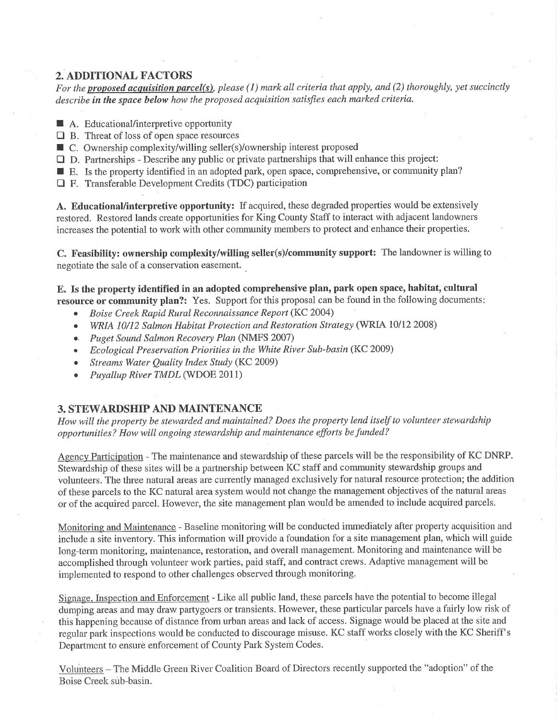## 2. ADDITIONAL FACTORS

For the proposed acquisition parcel(s), please (1) mark all criteria that apply, and (2) thoroughly, yet succinctly describe in the space below how the proposed acquisition satisfies each marked criteria.

- A. Educational/interpretive opportunity
- $\Box$  B. Threat of loss of open space resources
- $\Box$  B. Threat of loss of open space resources<br> $\Box$  C. Ownership complexity/willing seller(s)/ownership interest proposed
- $\square$  D. Partnerships Describe any public or private partnerships that will enhance this project:
- $\Box$  D. Partnerships Describe any public or private partnerships that will enhance this project:<br> $\Box$  E. Is the property identified in an adopted park, open space, comprehensive, or community plan?
- □ F. Transferable Development Credits (TDC) participation

A. Educational/interpretive opportunity: If acquired, these degraded properties would be extensively restored. Restored lands create opportunities for King County Staff to interact with adjacent landowners increases the potential to work with other community members to protect and enhance their properties.

C. Feasibility: ownership complexity/willing seller(s)/community support: The landowner is willing to negotiate the sale of a conservation easement.

E. Is the property identified in an adopted comprehensive plan, park open space, habitat, cultural resource or community plan?: Yes. Support for this proposal can be found in the following documents:

- **•** Boise Creek Rapid Rural Reconnaissance Report (KC 2004)
- WRIA 10/12 Salmon Habitat Protection and Restoration Strategy (WRIA 10/12 2008)
- .. Puget Sound Salmon Recovery P/an (NMFS 2007)
- . Ecological Preservation Priorities in the White River Sub-basin (KC 2009)
- Streams Water Quality Index Study (KC 2009)
- Puyallup River TMDL (WDOE 2011)

### 3. STEWARDSHIP AND MAINTENANCE

How will the property be stewarded and maintained? Does the property lend itself to volunteer stewardship opportunities? How will ongoing stewardship and maintenance efforts be funded?

Agency Participation - The maintenance and stewardship of these parcels will be the responsibility of KC DNRP. Stewardship of these sites will be a partnership between KC staff and community stewardship groups and volunteers. The three natural areas are currently managed exclusively for natural resource protection; the addition of these parcels to the KC natural area system would not change the management objectives of the natural areas or of the acquired parcel. However, the site management plan would be amended to include acquired parcels,

Monitoring and Maintenance - Baseline monitoring will be conducted immediately after property acquisition and include a site inventory. This information will provide a foundation for a site management plan, which will guide long-term monitoring, maintenance, restoration, and overall management. Monitoring and maintenance will be accomplished through volunteer work parties, paid staff, and contract crews. Adaptive management will be implemented to respond to other challenges observed through monitoring.

Signage. Inspection and Enforcement - Like all public land, these parcels have the potential to become illegal dumping areas and may draw partygoers or transients. However, these particular parcels have a fairly low risk of this happening because of distance from urban areas and lack of access. Signage would be placed at the site and regular patk inspections would be conducted to discourage misuse. KC staff works closely with the KC Sheriff's Department to ensure enforcement of County Park System Codes.

Volunteers - The Middle Green River Coalition Board of Directors recently supported the "adoption" of the Boise Creek sub-basin.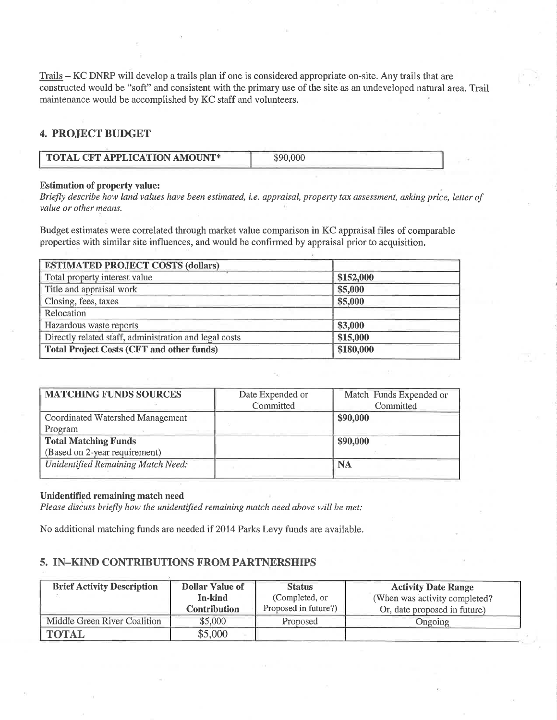Trails - KC DNRP will develop a trails plan if one is considered appropriate on-site. Any trails that are constructed would be "soft" and consistent with the primary use of the site as an undeveloped natural area. Trail maintenance would be accomplished by KC staff and volunteers.

## 4. PROJECT BUDGET

| <b>TOTAL CFT APPLICATION AMOUNT*</b> |  |
|--------------------------------------|--|
|                                      |  |

#### Estimation of property value:

Briefly describe how land values have been estimated, i.e. appraisal, property tax assessment, asking price, letter of value or other means.

Budget estimates were correlated through market value comparison in KC appraisal files of comparable properties with similar site influences, and would be confirmed by appraisal prior to acquisition.

| <b>ESTIMATED PROJECT COSTS (dollars)</b>               |           |  |  |
|--------------------------------------------------------|-----------|--|--|
| Total property interest value                          | \$152,000 |  |  |
| Title and appraisal work                               | \$5,000   |  |  |
| Closing, fees, taxes                                   | \$5,000   |  |  |
| Relocation                                             |           |  |  |
| Hazardous waste reports                                | \$3,000   |  |  |
| Directly related staff, administration and legal costs | \$15,000  |  |  |
| <b>Total Project Costs (CFT and other funds)</b>       | \$180,000 |  |  |

| <b>MATCHING FUNDS SOURCES</b>      | Date Expended or | Match Funds Expended or |
|------------------------------------|------------------|-------------------------|
|                                    | Committed        | Committed               |
| Coordinated Watershed Management   |                  | \$90,000                |
| Program                            |                  |                         |
| <b>Total Matching Funds</b>        |                  | \$90,000                |
| (Based on 2-year requirement)      |                  |                         |
| Unidentified Remaining Match Need: |                  | <b>NA</b>               |
|                                    |                  |                         |

#### Unidentifîed remaining match need

Please discuss briefly how the unidentified remaining match need above will be met:

No additional matching funds are needed if 2014 Parks Levy funds are available.

### 5. IN-KIND CONTRIBUTIONS FROM PARTNERSHIPS

| <b>Brief Activity Description</b> | <b>Dollar Value of</b> | <b>Status</b>        | <b>Activity Date Range</b>    |
|-----------------------------------|------------------------|----------------------|-------------------------------|
|                                   | In-kind                | (Completed, or       | (When was activity completed? |
|                                   | <b>Contribution</b>    | Proposed in future?) | Or, date proposed in future)  |
| Middle Green River Coalition      | \$5,000                | Proposed             | Ongoing                       |
| <b>TOTAL</b>                      | \$5,000                |                      |                               |